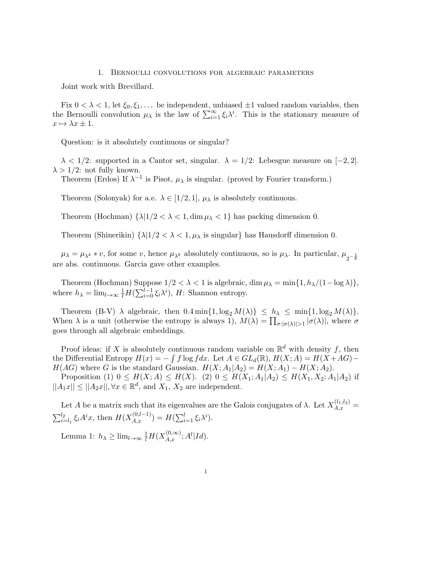## 1. Bernoulli convolutions for algebraic parameters

Joint work with Brevillard.

Fix  $0 < \lambda < 1$ , let  $\xi_0, \xi_1, \ldots$  be independent, unbiased  $\pm 1$  valued random variables, then the Bernoulli convolution  $\mu_{\lambda}$  is the law of  $\sum_{i=1}^{\infty} \xi_i \lambda^i$ . This is the stationary measure of  $x \mapsto \lambda x \pm 1.$ 

Question: is it absolutely continuous or singular?

 $\lambda < 1/2$ : supported in a Cantor set, singular.  $\lambda = 1/2$ : Lebesgue measure on  $[-2, 2]$ .  $\lambda > 1/2$ : not fully known.

Theorem (Erdos) If  $\lambda^{-1}$  is Pisot,  $\mu_{\lambda}$  is singular. (proved by Fourier transform.)

Theorem (Solonyak) for a.e.  $\lambda \in [1/2, 1]$ ,  $\mu_{\lambda}$  is absolutely continuous.

Theorem (Hochman)  $\{\lambda | 1/2 < \lambda < 1, \dim \mu_{\lambda} < 1\}$  has packing dimension 0.

Theorem (Shinerikin)  $\{\lambda | 1/2 < \lambda < 1, \mu_\lambda \text{ is singular}\}\$  has Hausdorff dimension 0.

 $\mu_{\lambda} = \mu_{\lambda^k} * v$ , for some *v*, hence  $\mu_{\lambda^k}$  absolutely continuous, so is  $\mu_{\lambda}$ . In particular,  $\mu_{2^{-\frac{1}{k}}}$ are abs. continuous. Garcia gave other examples.

Theorem (Hochman) Suppose  $1/2 < \lambda < 1$  is algebraic, dim  $\mu_{\lambda} = \min\{1, h_{\lambda}/(1-\log \lambda)\}\$ , where  $h_{\lambda} = \lim_{l \to \infty} \frac{1}{l} H(\sum_{i=0}^{l-1} \xi_i \lambda^i), H$ : Shannon entropy.

Theorem (B-V)  $\lambda$  algebraic, then  $0.4 \min\{1, \log_2 M(\lambda)\} \leq h_{\lambda} \leq \min\{1, \log_2 M(\lambda)\}.$ When  $\lambda$  is a unit (otherwise the entropy is always 1),  $M(\lambda) = \prod_{\sigma:|\sigma(\lambda)|>1} |\sigma(\lambda)|$ , where  $\sigma$ goes through all algebraic embeddings.

Proof ideas: if *X* is absolutely continuous random variable on  $\mathbb{R}^d$  with density *f*, then the Differential Entropy  $H(x) = -\int f \log f dx$ . Let  $A \in GL_d(\mathbb{R})$ ,  $H(X; A) = H(X + AG) -$ *H*(*AG*) where *G* is the standard Gaussian.  $H(X; A_1|A_2) = H(X; A_1) - H(X; A_2)$ .

Proposition (1)  $0 \leq H(X; A) \leq H(X)$ . (2)  $0 \leq H(X_1; A_1|A_2) \leq H(X_1, X_2; A_1|A_2)$  if  $||A_1x|| \leq ||A_2x||, \forall x \in \mathbb{R}^d$ , and  $X_1, X_2$  are independent.

Let *A* be a matrix such that its eigenvalues are the Galois conjugates of  $\lambda$ . Let  $X_{A,x}^{(l_1,l_2)}$  =  $\sum_{i=l_1}^{l_2} \xi_i A^i x$ , then  $H(X_{A,x}^{(0,l-1)}) = H(\sum_{i=1}^{l} \xi_i \lambda^i)$ .

Lemma 1:  $h_{\lambda} \ge \lim_{l \to \infty} \frac{1}{l} H(X_{A,x}^{(0,\infty)}; A^l | Id).$